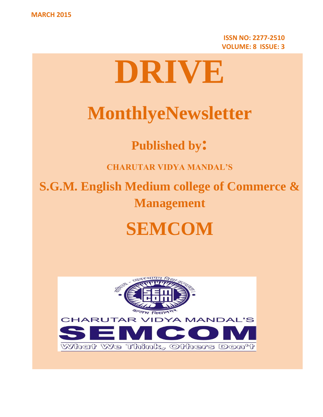**ISSN NO: 2277-2510 VOLUME: 8 ISSUE: 3**

# **DRIVE**

# **MonthlyeNewsletter**

**Published by:**

**CHARUTAR VIDYA MANDAL'S**

**S.G.M. English Medium college of Commerce & Management**

### **SEMCOM**

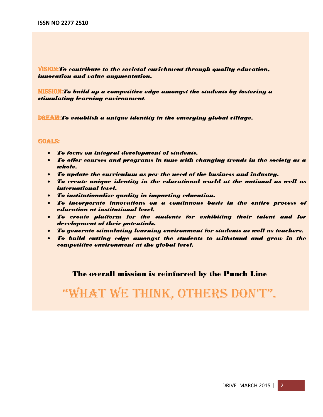VISION:*To contribute to the societal enrichment through quality education, innovation and value augmentation.*

MISSION:*To build up a competitive edge amongst the students by fostering a stimulating learning environment.*

DREAM:*To establish a unique identity in the emerging global village.*

#### GOALS:

- *To focus on integral development of students.*
- *To offer courses and programs in tune with changing trends in the society as a whole.*
- *To update the curriculum as per the need of the business and industry.*
- *To create unique identity in the educational world at the national as well as international level.*
- *To institutionalize quality in imparting education.*
- *To incorporate innovations on a continuous basis in the entire process of education at institutional level.*
- *To create platform for the students for exhibiting their talent and for development of their potentials.*
- *To generate stimulating learning environment for students as well as teachers.*
- *To build cutting edge amongst the students to withstand and grow in the competitive environment at the global level.*

#### The overall mission is reinforced by the Punch Line

### "What We think, Others DOn't".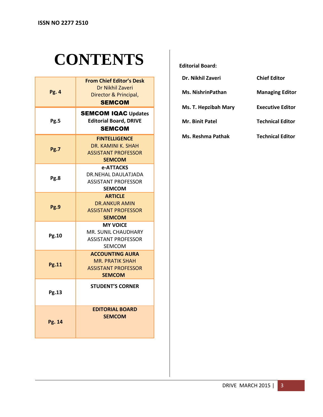## **CONTENTS**

| <b>Pg. 4</b> | <b>From Chief Editor's Desk</b><br>Dr Nikhil Zaveri<br>Director & Principal,<br><b>SEMCOM</b>   |
|--------------|-------------------------------------------------------------------------------------------------|
| Pg.5         | <b>SEMCOM IQAC Updates</b><br><b>Editorial Board, DRIVE</b><br><b>SEMCOM</b>                    |
| Pg.7         | <b>FINTELLIGENCE</b><br>DR. KAMINI K. SHAH<br><b>ASSISTANT PROFESSOR</b><br><b>SEMCOM</b>       |
| Pg.8         | e-ATTACKS<br>DR.NEHAL DAULATJADA<br><b>ASSISTANT PROFESSOR</b><br><b>SEMCOM</b>                 |
| Pg.9         | <b>ARTICLE</b><br><b>DR.ANKUR AMIN</b><br><b>ASSISTANT PROFESSOR</b><br><b>SEMCOM</b>           |
| Pg.10        | <b>MY VOICE</b><br>MR. SUNIL CHAUDHARY<br><b>ASSISTANT PROFESSOR</b><br><b>SEMCOM</b>           |
| <b>Pg.11</b> | <b>ACCOUNTING AURA</b><br><b>MR. PRATIK SHAH</b><br><b>ASSISTANT PROFESSOR</b><br><b>SEMCOM</b> |
| Pg.13        | <b>STUDENT'S CORNER</b>                                                                         |
| Pg. 14       | <b>EDITORIAL BOARD</b><br><b>SEMCOM</b>                                                         |

#### **Editorial Board:**

| Dr. Nikhil Zaveri      | <b>Chief Editor</b>     |
|------------------------|-------------------------|
| Ms. NishrinPathan      | <b>Managing Editor</b>  |
| Ms. T. Hepzibah Mary   | <b>Executive Editor</b> |
| <b>Mr. Binit Patel</b> | <b>Technical Editor</b> |
| Ms. Reshma Pathak      | <b>Technical Editor</b> |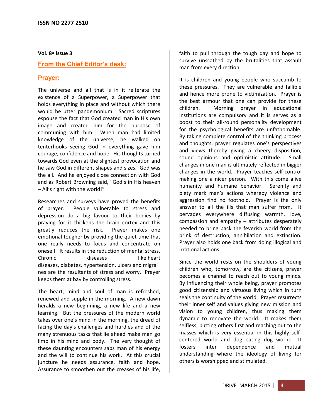#### **Vol. 8 Issue 3**

#### **From the Chief Editor's desk:**

#### **Prayer:**

The universe and all that is in it reiterate the existence of a Superpower, a Superpower that holds everything in place and without which there would be utter pandemonium. Sacred scriptures espouse the fact that God created man in His own image and created him for the purpose of communing with him. When man had limited knowledge of the universe, he walked on tenterhooks seeing God in everything gave him courage, confidence and hope. His thoughts turned towards God even at the slightest provocation and he saw God in different shapes and sizes. God was the all. And he enjoyed close connection with God and as Robert Browning said, "God's in His heaven – All's right with the world!"

Researches and surveys have proved the benefits of prayer. People vulnerable to stress and depression do a big favour to their bodies by praying for it thickens the brain cortex and this greatly reduces the risk. Prayer makes one emotional tougher by providing the quiet time that one really needs to focus and concentrate on oneself. It results in the reduction of mental stress. Chronic diseases like heart [diseases,](http://www.thehealthsite.com/topics/heart-disease/) [diabetes,](http://www.thehealthsite.com/topics/diabetes/) [hypertension,](http://www.thehealthsite.com/topics/hypertension/) [ulcers](http://www.thehealthsite.com/diseases-conditions/5-home-remedies-for-mouth-ulcers/) and [migrai](http://www.thehealthsite.com/diseases-conditions/migraine-facts-you-should-know/) [nes](http://www.thehealthsite.com/diseases-conditions/migraine-facts-you-should-know/) are the resultants of stress and worry. Prayer keeps them at bay by controlling stress.

The heart, mind and soul of man is refreshed, renewed and supple in the morning. A new dawn heralds a new beginning, a new life and a new learning. But the pressures of the modern world takes over one's mind in the morning, the dread of facing the day's challenges and hurdles and of the many strenuous tasks that lie ahead make man go limp in his mind and body. The very thought of these daunting encounters saps man of his energy and the will to continue his work. At this crucial juncture he needs assurance, faith and hope. Assurance to smoothen out the creases of his life,

faith to pull through the tough day and hope to survive unscathed by the brutalities that assault man from every direction.

It is children and young people who succumb to these pressures. They are vulnerable and fallible and hence more prone to victimization. Prayer is the best armour that one can provide for these children. Morning prayer in educational institutions are compulsory and it is serves as a boost to their all-round personality development for the psychological benefits are unfathomable. By taking complete control of the thinking process and thoughts, prayer regulates one's perspectives and views thereby giving a cheery disposition, sound opinions and optimistic attitude. Small changes in one man is ultimately reflected in bigger changes in the world. Prayer teaches self-control making one a nicer person. With this come alive humanity and humane behavior. Serenity and piety mark man's actions whereby violence and aggression find no foothold. Prayer is the only answer to all the ills that man suffer from. It pervades everywhere diffusing warmth, love, compassion and empathy – attributes desperately needed to bring back the feverish world from the brink of destruction, annihilation and extinction. Prayer also holds one back from doing illogical and irrational actions.

Since the world rests on the shoulders of young children who, tomorrow, are the citizens, prayer becomes a channel to reach out to young minds. By influencing their whole being, prayer promotes good citizenship and virtuous living which in turn seals the continuity of the world. Prayer resurrects their inner self and values giving new mission and vision to young children, thus making them dynamic to renovate the world. It makes them selfless, putting others first and reaching out to the masses which is very essential in this highly selfcentered world and dog eating dog world. It fosters inter dependence and mutual understanding where the ideology of living for others is worshipped and stimulated.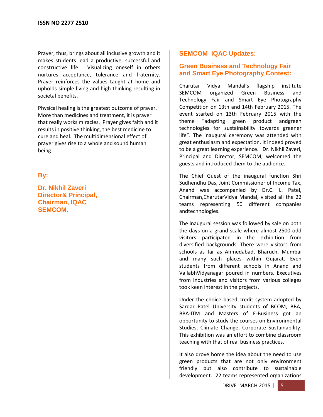Prayer, thus, brings about all inclusive growth and it makes students lead a productive, successful and constructive life. Visualizing oneself in others nurtures acceptance, tolerance and fraternity. Prayer reinforces the values taught at home and upholds simple living and high thinking resulting in societal benefits.

Physical healing is the greatest outcome of prayer. More than medicines and treatment, it is prayer that really works miracles. Prayer gives faith and it results in positive thinking, the best medicine to cure and heal. The multidimensional effect of prayer gives rise to a whole and sound human being.

#### **By:**

**Dr. Nikhil Zaveri Director& Principal, Chairman, IQAC SEMCOM.**

#### **SEMCOM IQAC Updates:**

#### **Green Business and Technology Fair and Smart Eye Photography Contest:**

Charutar Vidya Mandal's flagship institute SEMCOM organized Green Business and Technology Fair and Smart Eye Photography Competition on 13th and 14th February 2015. The event started on 13th February 2015 with the theme "adapting green product andgreen technologies for sustainability towards greener life". The inaugural ceremony was attended with great enthusiasm and expectation. It indeed proved to be a great learning experience. Dr. Nikhil Zaveri, Principal and Director, SEMCOM, welcomed the guests and introduced them to the audience.

The Chief Guest of the inaugural function Shri Sudhendhu Das, Joint Commissioner of Income Tax, Anand was accompanied by Dr.C. L. Patel, Chairman,CharutarVidya Mandal, visited all the 22 teams representing 50 different companies andtechnologies.

The inaugural session was followed by sale on both the days on a grand scale where almost 2500 odd visitors participated in the exhibition from diversified backgrounds. There were visitors from schools as far as Ahmedabad, Bharuch, Mumbai and many such places within Gujarat. Even students from different schools in Anand and VallabhVidyanagar poured in numbers. Executives from industries and visitors from various colleges took keen interest in the projects.

Under the choice based credit system adopted by Sardar Patel University students of BCOM, BBA, BBA-ITM and Masters of E-Business got an opportunity to study the courses on Environmental Studies, Climate Change, Corporate Sustainability. This exhibition was an effort to combine classroom teaching with that of real business practices.

It also drove home the idea about the need to use green products that are not only environment friendly but also contribute to sustainable development. 22 teams represented organizations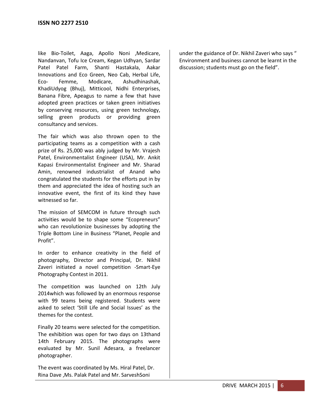like Bio-Toilet, Aaga, Apollo Noni ,Medicare, Nandanvan, Tofu Ice Cream, Kegan Udhyan, Sardar Patel Patel Farm, Shanti Hastakala, Aakar Innovations and Eco Green, Neo Cab, Herbal Life, Eco- Femme, Modicare, Ashudhinashak, KhadiUdyog (Bhuj), Mitticool, Nidhi Enterprises, Banana Fibre, Apeagus to name a few that have adopted green practices or taken green initiatives by conserving resources, using green technology, selling green products or providing green consultancy and services.

The fair which was also thrown open to the participating teams as a competition with a cash prize of Rs. 25,000 was ably judged by Mr. Vrajesh Patel, Environmentalist Engineer (USA), Mr. Ankit Kapasi Environmentalist Engineer and Mr. Sharad Amin, renowned industrialist of Anand who congratulated the students for the efforts put in by them and appreciated the idea of hosting such an innovative event, the first of its kind they have witnessed so far.

The mission of SEMCOM in future through such activities would be to shape some "Ecopreneurs" who can revolutionize businesses by adopting the Triple Bottom Line in Business "Planet, People and Profit".

In order to enhance creativity in the field of photography, Director and Principal, Dr. Nikhil Zaveri initiated a novel competition -Smart-Eye Photography Contest in 2011.

The competition was launched on 12th July 2014which was followed by an enormous response with 99 teams being registered. Students were asked to select 'Still Life and Social Issues' as the themes for the contest.

Finally 20 teams were selected for the competition. The exhibition was open for two days on 13thand 14th February 2015. The photographs were evaluated by Mr. Sunil Adesara, a freelancer photographer.

The event was coordinated by Ms. Hiral Patel, Dr. Rina Dave ,Ms. Palak Patel and Mr. SarveshSoni

under the guidance of Dr. Nikhil Zaveri who says " Environment and business cannot be learnt in the discussion; students must go on the field".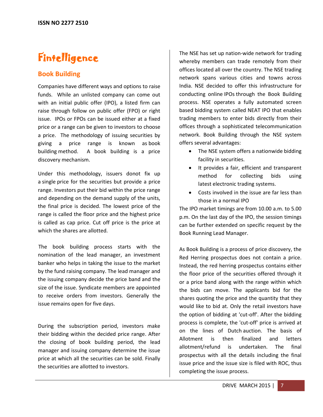### **Fintelligence**

#### **Book Building**

Companies have different ways and options to raise funds. While an unlisted company can come out with an initial public offer (IPO), a listed firm can raise through follow on public offer (FPO) or right issue. IPOs or FPOs can be issued either at a fixed price or a range can be given to investors to choose a price. The methodology of issuing securities by giving a price range is known as book building method. A book building is a price discovery mechanism.

Under this methodology, issuers donot fix up a single price for the securities but provide a price range. Investors put their bid within the price range and depending on the demand supply of the units, the final price is decided. The lowest price of the range is called the floor price and the highest price is called as cap price. Cut off price is the price at which the shares are allotted.

The book building process starts with the nomination of the lead manager, an investment banker who helps in taking the issue to the market by the fund raising company. The lead manager and the issuing company decide the price band and the size of the issue. Syndicate members are appointed to receive orders from investors. Generally the issue remains open for five days.

During the subscription period, investors make their bidding within the decided price range. After the closing of book building period, the lead manager and issuing company determine the issue price at which all the securities can be sold. Finally the securities are allotted to investors.

The NSE has set up nation-wide network for trading whereby members can trade remotely from their offices located all over the country. The NSE trading network spans various cities and towns across India. NSE decided to offer this infrastructure for conducting online IPOs through the Book Building process. NSE operates a fully automated screen based bidding system called NEAT IPO that enables trading members to enter bids directly from their offices through a sophisticated telecommunication network. Book Building through the NSE system offers several advantages:

- The NSE system offers a nationwide bidding facility in securities.
- It provides a fair, efficient and transparent method for collecting bids using latest electronic trading systems.
- Costs involved in the issue are far less than those in a normal IPO

The IPO market timings are from 10.00 a.m. to 5.00 p.m. On the last day of the IPO, the session timings can be further extended on specific request by the Book Running Lead Manager.

As Book Building is a process of price discovery, the Red Herring prospectus does not contain a price. Instead, the red herring prospectus contains either the floor price of the securities offered through it or a price band along with the range within which the bids can move. The applicants bid for the shares quoting the price and the quantity that they would like to bid at. Only the retail investors have the option of bidding at 'cut-off'. After the bidding process is complete, the 'cut-off' price is arrived at on the lines of Dutch auction. The basis of Allotment is then finalized and letters allotment/refund is undertaken. The final prospectus with all the details including the final issue price and the issue size is filed with ROC, thus completing the issue process.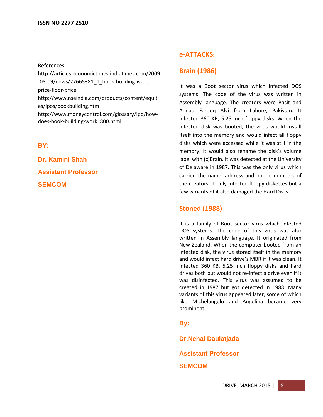References:

http://articles.economictimes.indiatimes.com/2009 -08-09/news/27665381\_1\_book-building-issueprice-floor-price [http://www.nseindia.com/products/content/equiti](http://www.nseindia.com/products/content/equities/ipos/bookbuilding.htm) [es/ipos/bookbuilding.htm](http://www.nseindia.com/products/content/equities/ipos/bookbuilding.htm) [http://www.moneycontrol.com/glossary/ipo/how](http://www.moneycontrol.com/glossary/ipo/how-does-book-building-work_800.html)[does-book-building-work\\_800.html](http://www.moneycontrol.com/glossary/ipo/how-does-book-building-work_800.html)

#### **BY:**

**Dr. Kamini Shah Assistant Professor SEMCOM**

#### **e-ATTACKS:**

#### **Brain (1986)**

It was a Boot sector virus which infected DOS systems. The code of the virus was written in Assembly language. The creators were Basit and Amjad Farooq Alvi from Lahore, Pakistan. It infected 360 KB, 5.25 inch floppy disks. When the infected disk was booted, the virus would install itself into the memory and would infect all floppy disks which were accessed while it was still in the memory. It would also rename the disk's volume label with (c)Brain. It was detected at the University of Delaware in 1987. This was the only virus which carried the name, address and phone numbers of the creators. It only infected floppy diskettes but a few variants of it also damaged the Hard Disks.

#### **Stoned (1988)**

It is a family of Boot sector virus which infected DOS systems. The code of this virus was also written in Assembly language. It originated from New Zealand. When the computer booted from an infected disk, the virus stored itself in the memory and would infect hard drive's MBR if it was clean. It infected 360 KB, 5.25 inch floppy disks and hard drives both but would not re-infect a drive even if it was disinfected. This virus was assumed to be created in 1987 but got detected in 1988. Many variants of this virus appeared later, some of which like Michelangelo and Angelina became very prominent.

#### **By:**

**Dr.Nehal Daulatjada**

**Assistant Professor SEMCOM**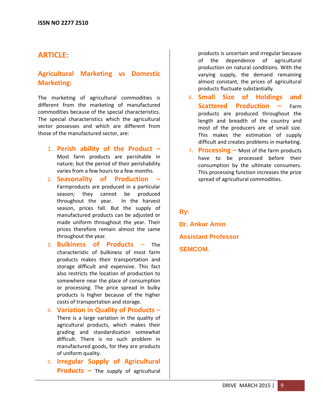#### **ARTICLE:**

#### **Agricultural Marketing vs Domestic Marketing:**

The marketing of agricultural commodities is different from the marketing of manufactured commodities because of the special characteristics. The special characteristics which the agricultural sector possesses and which are different from those of the manufactured sector, are:

- **1. Perish ability of the Product –** Most farm products are perishable in nature; but the period of their perishability varies from a few hours to a few months.
- **2. Seasonality of Production –** Farmproducts are produced in a particular season; they cannot be produced throughout the year. In the harvest season, prices fall. But the supply of manufactured products can be adjusted or made uniform throughout the year. Their prices therefore remain almost the same throughout the year.
- **3. Bulkiness of Products** The characteristic of bulkiness of most farm products makes their transportation and storage difficult and expensive. This fact also restricts the location of production to somewhere near the place of consumption or processing. The price spread in bulky products is higher because of the higher costs of transportation and storage.
- **4. Variation in Quality of Products –** There is a large variation in the quality of agricultural products, which makes their grading and standardization somewhat difficult. There is no such problem in manufactured goods, for they are products of uniform quality.
- **5. Irregular Supply of Agricultural Products –** The supply of agricultural

products is uncertain and irregular because of the dependence of agricultural production on natural conditions. With the varying supply, the demand remaining almost constant, the prices of agricultural products fluctuate substantially.

- **6. Small Size of Holdings and Scattered Production –** Farm products are produced throughout the length and breadth of the country and most of the producers are of small size. This makes the estimation of supply difficult and creates problems in marketing.
- **7. Processing –** Most of the farm products have to be processed before their consumption by the ultimate consumers. This processing function increases the price spread of agricultural commodities.

**By:**

**Dr. Ankur Amin Assistant Professor SEMCOM.**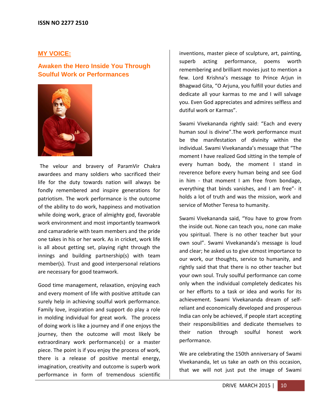#### **MY VOICE:**

#### **Awaken the Hero Inside You Through Soulful Work or Performances**



The velour and bravery of ParamVir Chakra awardees and many soldiers who sacrificed their life for the duty towards nation will always be fondly remembered and inspire generations for patriotism. The work performance is the outcome of the ability to do work, happiness and motivation while doing work, grace of almighty god, favorable work environment and most importantly teamwork and camaraderie with team members and the pride one takes in his or her work. As in cricket, work life is all about getting set, playing right through the innings and building partnership(s) with team member(s). Trust and good interpersonal relations are necessary for good teamwork.

Good time management, relaxation, enjoying each and every moment of life with positive attitude can surely help in achieving soulful work performance. Family love, inspiration and support do play a role in molding individual for great work. The process of doing work is like a journey and if one enjoys the journey, then the outcome will most likely be extraordinary work performance(s) or a master piece. The point is if you enjoy the process of work, there is a release of positive mental energy, imagination, creativity and outcome is superb work performance in form of tremendous scientific

inventions, master piece of sculpture, art, painting, superb acting performance, poems worth remembering and brilliant movies just to mention a few. Lord Krishna's message to Prince Arjun in Bhagwad Gita, "O Arjuna, you fulfill your duties and dedicate all your karmas to me and I will salvage you. Even God appreciates and admires selfless and dutiful work or Karmas".

Swami Vivekananda rightly said: "Each and every human soul is divine".The work performance must be the manifestation of divinity within the individual. Swami Vivekananda's message that "The moment I have realized God sitting in the temple of every human body, the moment I stand in reverence before every human being and see God in him - that moment I am free from bondage, everything that binds vanishes, and I am free"- it holds a lot of truth and was the mission, work and service of Mother Teresa to humanity.

Swami Vivekananda said, "You have to grow from the inside out. None can teach you, none can make you spiritual. There is no other teacher but your own soul". Swami Vivekananda's message is loud and clear; he asked us to give utmost importance to our work, our thoughts, service to humanity, and rightly said that that there is no other teacher but your own soul. Truly soulful performance can come only when the individual completely dedicates his or her efforts to a task or idea and works for its achievement. Swami Vivekananda dream of selfreliant and economically developed and prosperous India can only be achieved, if people start accepting their responsibilities and dedicate themselves to their nation through soulful honest work performance.

We are celebrating the 150th anniversary of Swami Vivekananda, let us take an oath on this occasion, that we will not just put the image of Swami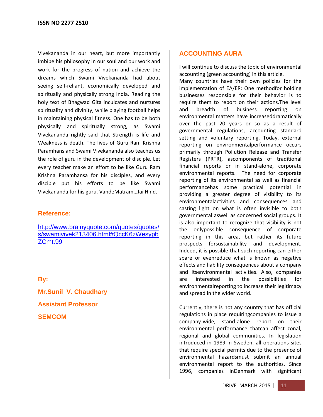Vivekananda in our heart, but more importantly imbibe his philosophy in our soul and our work and work for the progress of nation and achieve the dreams which Swami Vivekananda had about seeing self-reliant, economically developed and spiritually and physically strong India. Reading the holy text of Bhagwad Gita inculcates and nurtures spirituality and divinity, while playing football helps in maintaining physical fitness. One has to be both physically and spiritually strong, as Swami Vivekananda rightly said that Strength is life and Weakness is death. The lives of Guru Ram Krishna Paramhans and Swami Vivekananda also teaches us the role of guru in the development of disciple. Let every teacher make an effort to be like Guru Ram Krishna Paramhansa for his disciples, and every disciple put his efforts to be like Swami Vivekananda for his guru. VandeMatram…Jai Hind.

#### **Reference:**

[http://www.brainyquote.com/quotes/quotes/](http://www.brainyquote.com/quotes/quotes/s/swamivivek213406.html#QccK6zWesypbZCmt.99) [s/swamivivek213406.html#QccK6zWesypb](http://www.brainyquote.com/quotes/quotes/s/swamivivek213406.html#QccK6zWesypbZCmt.99) [ZCmt.99](http://www.brainyquote.com/quotes/quotes/s/swamivivek213406.html#QccK6zWesypbZCmt.99)

**By:**

**Mr.Sunil V. Chaudhary Assistant Professor SEMCOM**

#### **ACCOUNTING AURA**

I will continue to discuss the topic of environmental accounting (green accounting) in this article.

Many countries have their own policies for the implementation of EA/ER: One methodfor holding businesses responsible for their behavior is to require them to report on their actions.The level and breadth of business reporting on environmental matters have increaseddramatically over the past 20 years or so as a result of governmental regulations, accounting standard setting and voluntary reporting. Today, external reporting on environmentalperformance occurs primarily through Pollution Release and Transfer Registers (PRTR), ascomponents of traditional financial reports or in stand-alone, corporate environmental reports. The need for corporate reporting of its environmental as well as financial performancehas some practical potential in providing a greater degree of visibility to its environmentalactivities and consequences and casting light on what is often invisible to both governmental aswell as concerned social groups. It is also important to recognize that visibility is not the onlypossible consequence of corporate reporting in this area, but rather its future prospects forsustainability and development. Indeed, it is possible that such reporting can either spare or evenreduce what is known as negative effects and liability consequences about a company and itsenvironmental activities. Also, companies are interested in the possibilities for environmentalreporting to increase their legitimacy and spread in the wider world.

Currently, there is not any country that has official regulations in place requiringcompanies to issue a company-wide, stand-alone report on their environmental performance thatcan affect zonal, regional and global communities. In legislation introduced in 1989 in Sweden, all operations sites that require special permits due to the presence of environmental hazardsmust submit an annual environmental report to the authorities. Since 1996, companies inDenmark with significant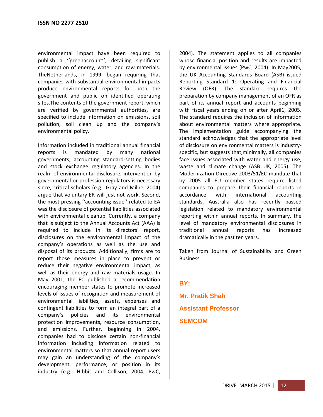environmental impact have been required to publish a ''greenaccount'', detailing significant consumption of energy, water, and raw materials. TheNetherlands, in 1999, began requiring that companies with substantial environmental impacts produce environmental reports for both the government and public on identified operating sites.The contents of the government report, which are verified by governmental authorities, are specified to include information on emissions, soil pollution, soil clean up and the company's environmental policy.

Information included in traditional annual financial reports is mandated by many national governments, accounting standard-setting bodies and stock exchange regulatory agencies. In the realm of environmental disclosure, intervention by governmental or profession regulators is necessary since, critical scholars (e.g., Gray and Milne, 2004) argue that voluntary ER will just not work. Second, the most pressing ''accounting issue'' related to EA was the disclosure of potential liabilities associated with environmental cleanup. Currently, a company that is subject to the Annual Accounts Act (AAA) is required to include in its directors' report, disclosures on the environmental impact of the company's operations as well as the use and disposal of its products. Additionally, firms are to report those measures in place to prevent or reduce their negative environmental impact, as well as their energy and raw materials usage. In May 2001, the EC published a recommendation encouraging member states to promote increased levels of issues of recognition and measurement of environmental liabilities, assets, expenses and contingent liabilities to form an integral part of a company's policies and its environmental protection improvements, resource consumption, and emissions. Further, beginning in 2004, companies had to disclose certain non-financial information including information related to environmental matters so that annual report users may gain an understanding of the company's development, performance, or position in its industry (e.g.: Hibbit and Collison, 2004; PwC, 2004). The statement applies to all companies whose financial position and results are impacted by environmental issues (PwC, 2004). In May2005, the UK Accounting Standards Board (ASB) issued Reporting Standard 1: Operating and Financial Review (OFR). The standard requires the preparation by company management of an OFR as part of its annual report and accounts beginning with fiscal years ending on or after April1, 2005. The standard requires the inclusion of information about environmental matters where appropriate. The implementation guide accompanying the standard acknowledges that the appropriate level of disclosure on environmental matters is industryspecific, but suggests that,minimally, all companies face issues associated with water and energy use, waste and climate change (ASB UK, 2005). The Modernization Directive 2003/51/EC mandate that by 2005 all EU member states require listed companies to prepare their financial reports in accordance with international accounting standards. Australia also has recently passed legislation related to mandatory environmental reporting within annual reports. In summary, the level of mandatory environmental disclosures in traditional annual reports has increased dramatically in the past ten years.

Taken from Journal of Sustainability and Green Business

#### **BY:**

**Mr. Pratik Shah Assistant Professor SEMCOM**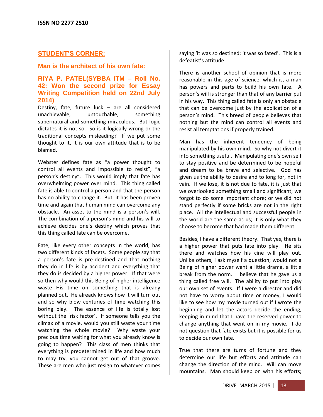#### **STUDENT'S CORNER:**

#### **Man is the architect of his own fate:**

#### **RIYA P. PATEL(SYBBA ITM – Roll No. 42: Won the second prize for Essay Writing Competition held on 22nd July 2014)**

Destiny, fate, future luck – are all considered unachievable, untouchable, something supernatural and something miraculous. But logic dictates it is not so. So is it logically wrong or the traditional concepts misleading? If we put some thought to it, it is our own attitude that is to be blamed.

Webster defines fate as "a power thought to control all events and impossible to resist", "a person's destiny". This would imply that fate has overwhelming power over mind. This thing called fate is able to control a person and that the person has no ability to change it. But, it has been proven time and again that human mind can overcome any obstacle. An asset to the mind is a person's will. The combination of a person's mind and his will to achieve decides one's destiny which proves that this thing called fate can be overcome.

Fate, like every other concepts in the world, has two different kinds of facets. Some people say that a person's fate is pre-destined and that nothing they do in life is by accident and everything that they do is decided by a higher power. If that were so then why would this Being of higher intelligence waste His time on something that is already planned out. He already knows how it will turn out and so why blow centuries of time watching this boring play. The essence of life is totally lost without the 'risk factor'. If someone tells you the climax of a movie, would you still waste your time watching the whole movie? Why waste your precious time waiting for what you already know is going to happen? This class of men thinks that everything is predetermined in life and how much to may try, you cannot get out of that groove. These are men who just resign to whatever comes saying 'it was so destined; it was so fated'. This is a defeatist's attitude.

There is another school of opinion that is more reasonable in this age of science, which is, a man has powers and parts to build his own fate. A person's will is stronger than that of any barrier put in his way. This thing called fate is only an obstacle that can be overcome just by the application of a person's mind. This breed of people believes that nothing but the mind can control all events and resist all temptations if properly trained.

Man has the inherent tendency of being manipulated by his own mind. So why not divert it into something useful. Manipulating one's own self to stay positive and be determined to be hopeful and dream to be brave and selective. God has given us the ability to desire and to long for, not in vain. If we lose, it is not due to fate, it is just that we overlooked something small and significant; we forgot to do some important chore; or we did not stand perfectly if some bricks are not in the right place. All the intellectual and successful people in the world are the same as us; it is only what they choose to become that had made them different.

Besides, I have a different theory. That yes, there is a higher power that puts fate into play. He sits there and watches how his cine will play out. Unlike others, I ask myself a question; would not a Being of higher power want a little drama, a little break from the norm. I believe that he gave us a thing called free will. The ability to put into play our own set of events. If I were a director and did not have to worry about time or money, I would like to see how my movie turned out if I wrote the beginning and let the actors decide the ending, keeping in mind that I have the reserved power to change anything that went on in my movie. I do not question that fate exists but it is possible for us to decide our own fate.

True that there are turns of fortune and they determine our life but efforts and attitude can change the direction of the mind. Will can move mountains. Man should keep on with his efforts;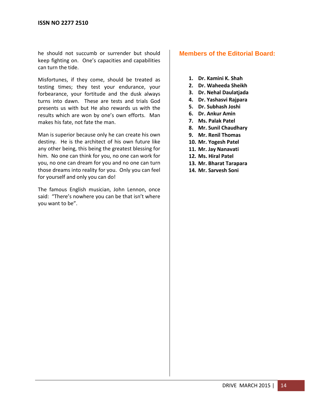he should not succumb or surrender but should keep fighting on. One's capacities and capabilities can turn the tide.

Misfortunes, if they come, should be treated as testing times; they test your endurance, your forbearance, your fortitude and the dusk always turns into dawn. These are tests and trials God presents us with but He also rewards us with the results which are won by one's own efforts. Man makes his fate, not fate the man.

Man is superior because only he can create his own destiny. He is the architect of his own future like any other being, this being the greatest blessing for him. No one can think for you, no one can work for you, no one can dream for you and no one can turn those dreams into reality for you. Only you can feel for yourself and only you can do!

The famous English musician, John Lennon, once said: "There's nowhere you can be that isn't where you want to be".

#### **Members of the Editorial Board:**

- **1. Dr. Kamini K. Shah**
- **2. Dr. Waheeda Sheikh**
- **3. Dr. Nehal Daulatjada**
- **4. Dr. Yashasvi Rajpara**
- **5. Dr. Subhash Joshi**
- **6. Dr. Ankur Amin**
- **7. Ms. Palak Patel**
- **8. Mr. Sunil Chaudhary**
- **9. Mr. Renil Thomas**
- **10. Mr. Yogesh Patel**
- **11. Mr. Jay Nanavati**
- **12. Ms. Hiral Patel**
- **13. Mr. Bharat Tarapara**
- **14. Mr. Sarvesh Soni**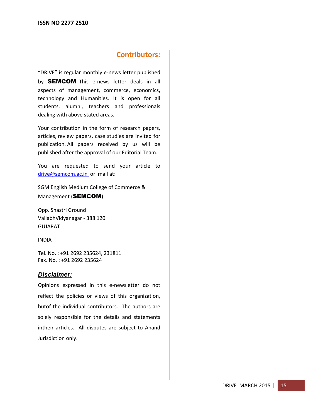#### **Contributors:**

"DRIVE" is regular monthly e-news letter published by **SEMCOM**. This e-news letter deals in all aspects of management, commerce, economics**,**  technology and Humanities. It is open for all students, alumni, teachers and professionals dealing with above stated areas.

Your contribution in the form of research papers, articles, review papers, case studies are invited for publication. All papers received by us will be published after the approval of our Editorial Team.

You are requested to send your article to [drive@semcom.ac.in](mailto:drive@semcom.ac.in) or mail at:

SGM English Medium College of Commerce & Management (SEMCOM)

Opp. Shastri Ground VallabhVidyanagar - 388 120 GUJARAT

INDIA

Tel. No. : +91 2692 235624, 231811 Fax. No. : +91 2692 235624

#### *Disclaimer:*

Opinions expressed in this e-newsletter do not reflect the policies or views of this organization, butof the individual contributors. The authors are solely responsible for the details and statements intheir articles. All disputes are subject to Anand Jurisdiction only.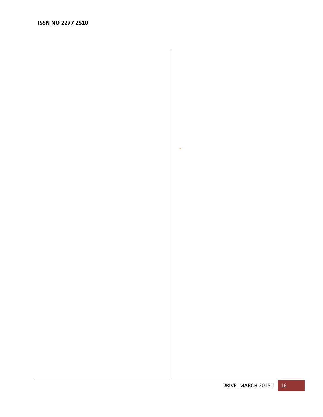#### **ISSN NO 2277 2510**

**.**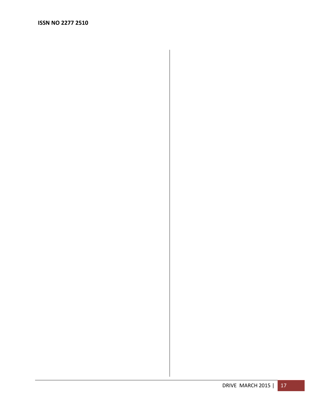#### **ISSN NO 2277 2510**